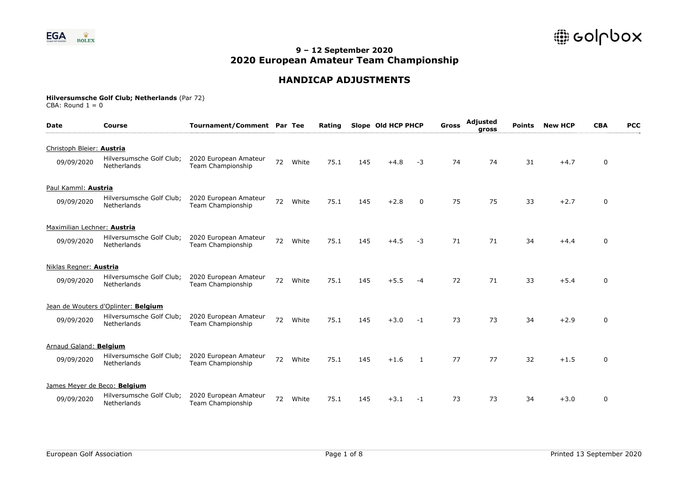

## **HANDICAP ADJUSTMENTS**

| <b>Date</b>                  | <b>Course</b>                           | Tournament/Comment Par Tee                 |    |       | Rating |     | Slope Old HCP PHCP |      | <b>Gross</b> | <b>Adjusted</b><br>gross | <b>Points</b> | <b>New HCP</b> | <b>CBA</b>  | <b>PCC</b> |
|------------------------------|-----------------------------------------|--------------------------------------------|----|-------|--------|-----|--------------------|------|--------------|--------------------------|---------------|----------------|-------------|------------|
| Christoph Bleier: Austria    |                                         |                                            |    |       |        |     |                    |      |              |                          |               |                |             |            |
| 09/09/2020                   | Hilversumsche Golf Club;<br>Netherlands | 2020 European Amateur<br>Team Championship | 72 | White | 75.1   | 145 | $+4.8$             | -3   | 74           | 74                       | 31            | $+4.7$         | 0           |            |
| Paul Kamml: Austria          |                                         |                                            |    |       |        |     |                    |      |              |                          |               |                |             |            |
| 09/09/2020                   | Hilversumsche Golf Club;<br>Netherlands | 2020 European Amateur<br>Team Championship | 72 | White | 75.1   | 145 | $+2.8$             | 0    | 75           | 75                       | 33            | $+2.7$         | 0           |            |
| Maximilian Lechner: Austria  |                                         |                                            |    |       |        |     |                    |      |              |                          |               |                |             |            |
| 09/09/2020                   | Hilversumsche Golf Club;<br>Netherlands | 2020 European Amateur<br>Team Championship | 72 | White | 75.1   | 145 | $+4.5$             | -3   | 71           | 71                       | 34            | $+4.4$         | 0           |            |
| Niklas Regner: Austria       |                                         |                                            |    |       |        |     |                    |      |              |                          |               |                |             |            |
| 09/09/2020                   | Hilversumsche Golf Club;<br>Netherlands | 2020 European Amateur<br>Team Championship | 72 | White | 75.1   | 145 | $+5.5$             | -4   | 72           | 71                       | 33            | $+5.4$         | 0           |            |
|                              | Jean de Wouters d'Oplinter: Belgium     |                                            |    |       |        |     |                    |      |              |                          |               |                |             |            |
| 09/09/2020                   | Hilversumsche Golf Club;<br>Netherlands | 2020 European Amateur<br>Team Championship | 72 | White | 75.1   | 145 | $+3.0$             | $-1$ | 73           | 73                       | 34            | $+2.9$         | 0           |            |
| Arnaud Galand: Belgium       |                                         |                                            |    |       |        |     |                    |      |              |                          |               |                |             |            |
| 09/09/2020                   | Hilversumsche Golf Club;<br>Netherlands | 2020 European Amateur<br>Team Championship | 72 | White | 75.1   | 145 | $+1.6$             | 1    | 77           | 77                       | 32            | $+1.5$         | 0           |            |
| James Meyer de Beco: Belgium |                                         |                                            |    |       |        |     |                    |      |              |                          |               |                |             |            |
| 09/09/2020                   | Hilversumsche Golf Club;<br>Netherlands | 2020 European Amateur<br>Team Championship | 72 | White | 75.1   | 145 | $+3.1$             | -1   | 73           | 73                       | 34            | $+3.0$         | $\mathbf 0$ |            |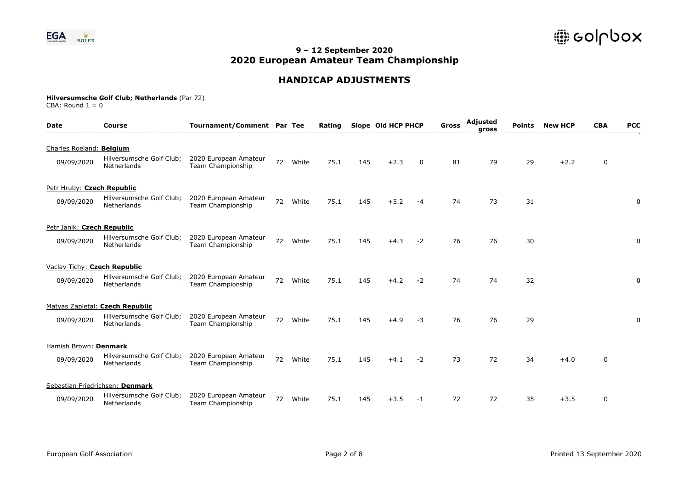

## **HANDICAP ADJUSTMENTS**

| <b>Date</b>                  | <b>Course</b>                           | Tournament/Comment Par Tee                        |    |       | Rating |     | Slope Old HCP PHCP |      | <b>Gross</b> | Adjusted<br>gross | <b>Points</b> | <b>New HCP</b> | <b>CBA</b>  | <b>PCC</b> |
|------------------------------|-----------------------------------------|---------------------------------------------------|----|-------|--------|-----|--------------------|------|--------------|-------------------|---------------|----------------|-------------|------------|
| Charles Roeland: Belgium     |                                         |                                                   |    |       |        |     |                    |      |              |                   |               |                |             |            |
| 09/09/2020                   | Hilversumsche Golf Club;<br>Netherlands | 2020 European Amateur<br><b>Team Championship</b> | 72 | White | 75.1   | 145 | $+2.3$             | 0    | 81           | 79                | 29            | $+2.2$         | 0           |            |
| Petr Hruby: Czech Republic   |                                         |                                                   |    |       |        |     |                    |      |              |                   |               |                |             |            |
| 09/09/2020                   | Hilversumsche Golf Club;<br>Netherlands | 2020 European Amateur<br>Team Championship        | 72 | White | 75.1   | 145 | $+5.2$             | $-4$ | 74           | 73                | 31            |                |             | 0          |
| Petr Janik: Czech Republic   |                                         |                                                   |    |       |        |     |                    |      |              |                   |               |                |             |            |
| 09/09/2020                   | Hilversumsche Golf Club;<br>Netherlands | 2020 European Amateur<br>Team Championship        | 72 | White | 75.1   | 145 | $+4.3$             | $-2$ | 76           | 76                | 30            |                |             | 0          |
| Vaclav Tichy: Czech Republic |                                         |                                                   |    |       |        |     |                    |      |              |                   |               |                |             |            |
| 09/09/2020                   | Hilversumsche Golf Club;<br>Netherlands | 2020 European Amateur<br>Team Championship        | 72 | White | 75.1   | 145 | $+4.2$             | $-2$ | 74           | 74                | 32            |                |             | 0          |
|                              | Matyas Zapletal: Czech Republic         |                                                   |    |       |        |     |                    |      |              |                   |               |                |             |            |
| 09/09/2020                   | Hilversumsche Golf Club;<br>Netherlands | 2020 European Amateur<br>Team Championship        | 72 | White | 75.1   | 145 | $+4.9$             | $-3$ | 76           | 76                | 29            |                |             | 0          |
| Hamish Brown: Denmark        |                                         |                                                   |    |       |        |     |                    |      |              |                   |               |                |             |            |
| 09/09/2020                   | Hilversumsche Golf Club;<br>Netherlands | 2020 European Amateur<br>Team Championship        | 72 | White | 75.1   | 145 | $+4.1$             | $-2$ | 73           | 72                | 34            | $+4.0$         | $\mathbf 0$ |            |
|                              | Sebastian Friedrichsen: Denmark         |                                                   |    |       |        |     |                    |      |              |                   |               |                |             |            |
| 09/09/2020                   | Hilversumsche Golf Club;<br>Netherlands | 2020 European Amateur<br>Team Championship        | 72 | White | 75.1   | 145 | $+3.5$             | -1   | 72           | 72                | 35            | $+3.5$         | $\mathbf 0$ |            |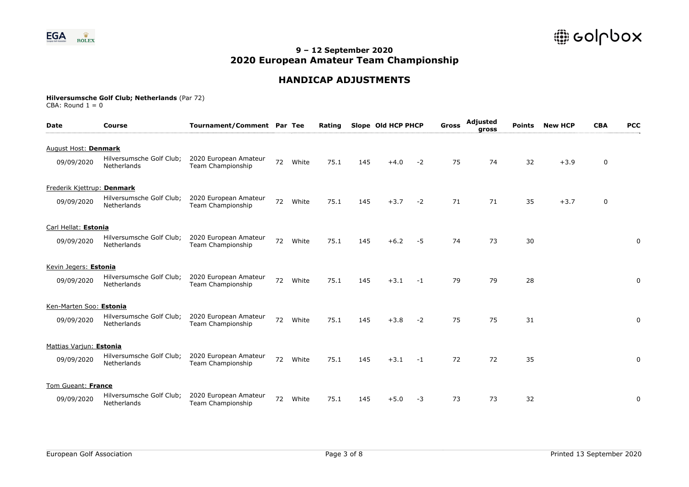

## **HANDICAP ADJUSTMENTS**

| Date                       | Course                                  | Tournament/Comment Par Tee                        |    |       | Rating |     | Slope Old HCP PHCP |      | Gross | Adjusted<br>gross | <b>Points</b> | <b>New HCP</b> | <b>CBA</b> | <b>PCC</b> |
|----------------------------|-----------------------------------------|---------------------------------------------------|----|-------|--------|-----|--------------------|------|-------|-------------------|---------------|----------------|------------|------------|
| August Host: Denmark       |                                         |                                                   |    |       |        |     |                    |      |       |                   |               |                |            |            |
| 09/09/2020                 | Hilversumsche Golf Club;<br>Netherlands | 2020 European Amateur<br><b>Team Championship</b> | 72 | White | 75.1   | 145 | $+4.0$             | $-2$ | 75    | 74                | 32            | $+3.9$         | 0          |            |
| Frederik Kjettrup: Denmark |                                         |                                                   |    |       |        |     |                    |      |       |                   |               |                |            |            |
| 09/09/2020                 | Hilversumsche Golf Club;<br>Netherlands | 2020 European Amateur<br>Team Championship        | 72 | White | 75.1   | 145 | $+3.7$             | $-2$ | 71    | 71                | 35            | $+3.7$         | 0          |            |
| Carl Hellat: Estonia       |                                         |                                                   |    |       |        |     |                    |      |       |                   |               |                |            |            |
| 09/09/2020                 | Hilversumsche Golf Club;<br>Netherlands | 2020 European Amateur<br>Team Championship        | 72 | White | 75.1   | 145 | $+6.2$             | $-5$ | 74    | 73                | 30            |                |            | 0          |
| Kevin Jegers: Estonia      |                                         |                                                   |    |       |        |     |                    |      |       |                   |               |                |            |            |
| 09/09/2020                 | Hilversumsche Golf Club;<br>Netherlands | 2020 European Amateur<br>Team Championship        | 72 | White | 75.1   | 145 | $+3.1$             | $-1$ | 79    | 79                | 28            |                |            | 0          |
| Ken-Marten Soo: Estonia    |                                         |                                                   |    |       |        |     |                    |      |       |                   |               |                |            |            |
| 09/09/2020                 | Hilversumsche Golf Club;<br>Netherlands | 2020 European Amateur<br>Team Championship        | 72 | White | 75.1   | 145 | $+3.8$             | $-2$ | 75    | 75                | 31            |                |            | 0          |
| Mattias Variun: Estonia    |                                         |                                                   |    |       |        |     |                    |      |       |                   |               |                |            |            |
| 09/09/2020                 | Hilversumsche Golf Club;<br>Netherlands | 2020 European Amateur<br>Team Championship        | 72 | White | 75.1   | 145 | $+3.1$             | $-1$ | 72    | 72                | 35            |                |            | 0          |
| Tom Gueant: France         |                                         |                                                   |    |       |        |     |                    |      |       |                   |               |                |            |            |
| 09/09/2020                 | Hilversumsche Golf Club;<br>Netherlands | 2020 European Amateur<br>Team Championship        | 72 | White | 75.1   | 145 | $+5.0$             | -3   | 73    | 73                | 32            |                |            | 0          |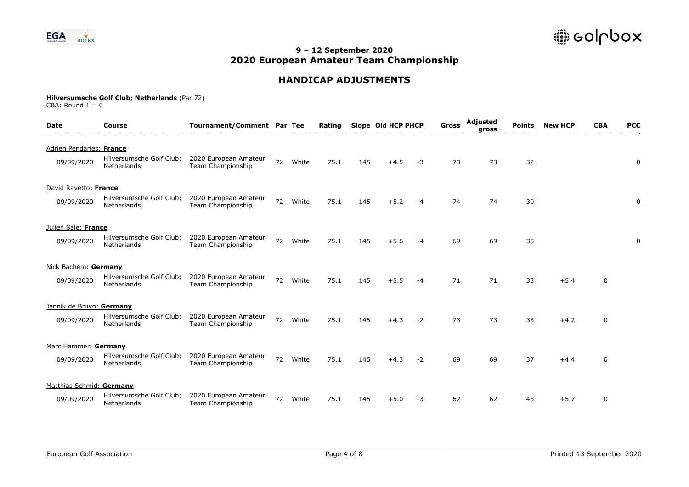

## **HANDICAP ADJUSTMENTS**

| <b>Date</b>              | <b>Course</b>                           | Tournament/Comment Par Tee                 |    |       | Rating |     | Slope Old HCP PHCP |      | Gross | Adjusted<br>gross | <b>Points</b> | <b>New HCP</b> | <b>CBA</b>  | <b>PCC</b> |
|--------------------------|-----------------------------------------|--------------------------------------------|----|-------|--------|-----|--------------------|------|-------|-------------------|---------------|----------------|-------------|------------|
| Adrien Pendaries: France |                                         |                                            |    |       |        |     |                    |      |       |                   |               |                |             |            |
| 09/09/2020               | Hilversumsche Golf Club;<br>Netherlands | 2020 European Amateur<br>Team Championship | 72 | White | 75.1   | 145 | $+4.5$             | $-3$ | 73    | 73                | 32            |                |             | 0          |
| David Ravetto: France    |                                         |                                            |    |       |        |     |                    |      |       |                   |               |                |             |            |
| 09/09/2020               | Hilversumsche Golf Club;<br>Netherlands | 2020 European Amateur<br>Team Championship | 72 | White | 75.1   | 145 | $+5.2$             | $-4$ | 74    | 74                | 30            |                |             | 0          |
| Julien Sale: France      |                                         |                                            |    |       |        |     |                    |      |       |                   |               |                |             |            |
| 09/09/2020               | Hilversumsche Golf Club;<br>Netherlands | 2020 European Amateur<br>Team Championship | 72 | White | 75.1   | 145 | $+5.6$             | -4   | 69    | 69                | 35            |                |             | 0          |
| Nick Bachem: Germany     |                                         |                                            |    |       |        |     |                    |      |       |                   |               |                |             |            |
| 09/09/2020               | Hilversumsche Golf Club;<br>Netherlands | 2020 European Amateur<br>Team Championship | 72 | White | 75.1   | 145 | $+5.5$             | -4   | 71    | 71                | 33            | $+5.4$         | 0           |            |
| Jannik de Bruyn: Germany |                                         |                                            |    |       |        |     |                    |      |       |                   |               |                |             |            |
| 09/09/2020               | Hilversumsche Golf Club;<br>Netherlands | 2020 European Amateur<br>Team Championship | 72 | White | 75.1   | 145 | $+4.3$             | $-2$ | 73    | 73                | 33            | $+4.2$         | $\mathbf 0$ |            |
| Marc Hammer: Germany     |                                         |                                            |    |       |        |     |                    |      |       |                   |               |                |             |            |
| 09/09/2020               | Hilversumsche Golf Club;<br>Netherlands | 2020 European Amateur<br>Team Championship | 72 | White | 75.1   | 145 | $+4.3$             | $-2$ | 69    | 69                | 37            | $+4.4$         | 0           |            |
| Matthias Schmid: Germany |                                         |                                            |    |       |        |     |                    |      |       |                   |               |                |             |            |
| 09/09/2020               | Hilversumsche Golf Club;<br>Netherlands | 2020 European Amateur<br>Team Championship | 72 | White | 75.1   | 145 | $+5.0$             | $-3$ | 62    | 62                | 43            | $+5.7$         | 0           |            |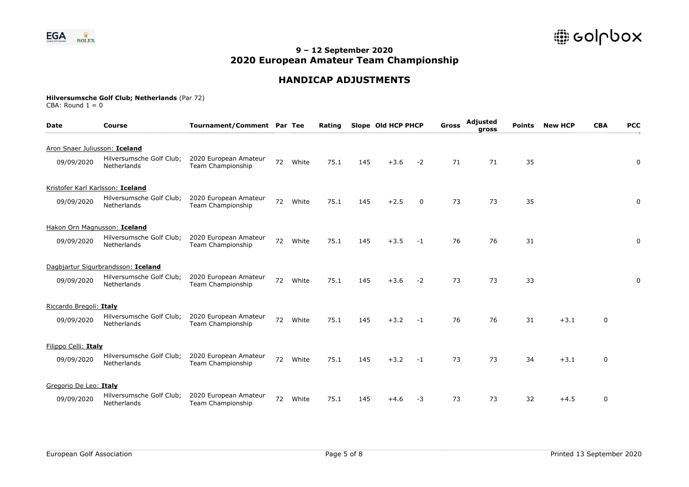

## **HANDICAP ADJUSTMENTS**

| <b>Date</b>                   | Course                                  | Tournament/Comment Par Tee                 |    |       | Rating |     | Slope Old HCP PHCP |             | Gross | Adjusted<br>gross | <b>Points</b> | <b>New HCP</b> | <b>CBA</b>  | <b>PCC</b> |
|-------------------------------|-----------------------------------------|--------------------------------------------|----|-------|--------|-----|--------------------|-------------|-------|-------------------|---------------|----------------|-------------|------------|
| Aron Snaer Juliusson: Iceland |                                         |                                            |    |       |        |     |                    |             |       |                   |               |                |             |            |
| 09/09/2020                    | Hilversumsche Golf Club;<br>Netherlands | 2020 European Amateur<br>Team Championship | 72 | White | 75.1   | 145 | $+3.6$             | $-2$        | 71    | 71                | 35            |                |             | 0          |
|                               | Kristofer Karl Karlsson: Iceland        |                                            |    |       |        |     |                    |             |       |                   |               |                |             |            |
| 09/09/2020                    | Hilversumsche Golf Club;<br>Netherlands | 2020 European Amateur<br>Team Championship | 72 | White | 75.1   | 145 | $+2.5$             | $\mathbf 0$ | 73    | 73                | 35            |                |             | 0          |
|                               | Hakon Orn Magnusson: Iceland            |                                            |    |       |        |     |                    |             |       |                   |               |                |             |            |
| 09/09/2020                    | Hilversumsche Golf Club;<br>Netherlands | 2020 European Amateur<br>Team Championship | 72 | White | 75.1   | 145 | $+3.5$             | $-1$        | 76    | 76                | 31            |                |             | 0          |
|                               | Dagbjartur Sigurbrandsson: Iceland      |                                            |    |       |        |     |                    |             |       |                   |               |                |             |            |
| 09/09/2020                    | Hilversumsche Golf Club;<br>Netherlands | 2020 European Amateur<br>Team Championship | 72 | White | 75.1   | 145 | $+3.6$             | $-2$        | 73    | 73                | 33            |                |             | 0          |
| Riccardo Bregoli: Italy       |                                         |                                            |    |       |        |     |                    |             |       |                   |               |                |             |            |
| 09/09/2020                    | Hilversumsche Golf Club;<br>Netherlands | 2020 European Amateur<br>Team Championship | 72 | White | 75.1   | 145 | $+3.2$             | $-1$        | 76    | 76                | 31            | $+3.1$         | 0           |            |
| Filippo Celli: Italy          |                                         |                                            |    |       |        |     |                    |             |       |                   |               |                |             |            |
| 09/09/2020                    | Hilversumsche Golf Club;<br>Netherlands | 2020 European Amateur<br>Team Championship | 72 | White | 75.1   | 145 | $+3.2$             | $-1$        | 73    | 73                | 34            | $+3.1$         | 0           |            |
| Gregorio De Leo: Italy        |                                         |                                            |    |       |        |     |                    |             |       |                   |               |                |             |            |
| 09/09/2020                    | Hilversumsche Golf Club;<br>Netherlands | 2020 European Amateur<br>Team Championship | 72 | White | 75.1   | 145 | $+4.6$             | -3          | 73    | 73                | 32            | $+4.5$         | $\mathbf 0$ |            |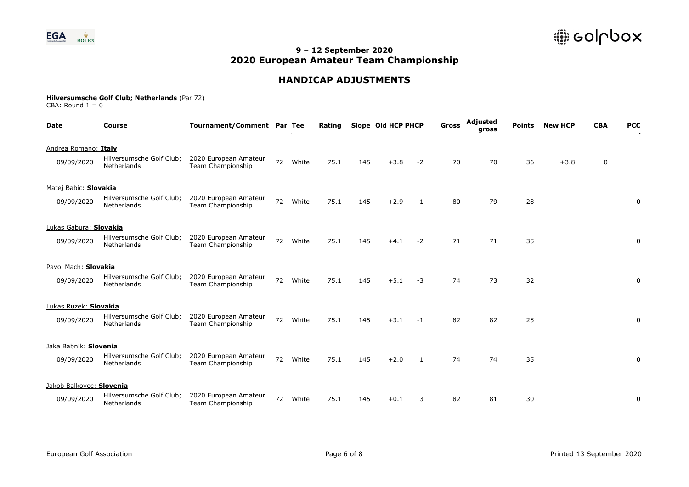

## **HANDICAP ADJUSTMENTS**

| <b>Date</b>                          | <b>Course</b>                           | Tournament/Comment Par Tee                 |    |       | Rating |     | Slope Old HCP PHCP |              | Gross | Adjusted<br>gross | <b>Points</b> | <b>New HCP</b> | <b>CBA</b> | <b>PCC</b> |
|--------------------------------------|-----------------------------------------|--------------------------------------------|----|-------|--------|-----|--------------------|--------------|-------|-------------------|---------------|----------------|------------|------------|
| Andrea Romano: Italy<br>09/09/2020   | Hilversumsche Golf Club;<br>Netherlands | 2020 European Amateur<br>Team Championship | 72 | White | 75.1   | 145 | $+3.8$             | $-2$         | 70    | 70                | 36            | $+3.8$         | 0          |            |
| Matej Babic: Slovakia<br>09/09/2020  | Hilversumsche Golf Club;<br>Netherlands | 2020 European Amateur<br>Team Championship | 72 | White | 75.1   | 145 | $+2.9$             | $-1$         | 80    | 79                | 28            |                |            | 0          |
| Lukas Gabura: Slovakia<br>09/09/2020 | Hilversumsche Golf Club;<br>Netherlands | 2020 European Amateur<br>Team Championship | 72 | White | 75.1   | 145 | $+4.1$             | $-2$         | 71    | 71                | 35            |                |            | 0          |
| Pavol Mach: Slovakia<br>09/09/2020   | Hilversumsche Golf Club;<br>Netherlands | 2020 European Amateur<br>Team Championship | 72 | White | 75.1   | 145 | $+5.1$             | $-3$         | 74    | 73                | 32            |                |            | 0          |
| Lukas Ruzek: Slovakia<br>09/09/2020  | Hilversumsche Golf Club;<br>Netherlands | 2020 European Amateur<br>Team Championship | 72 | White | 75.1   | 145 | $+3.1$             | $-1$         | 82    | 82                | 25            |                |            | 0          |
| Jaka Babnik: Slovenia<br>09/09/2020  | Hilversumsche Golf Club;<br>Netherlands | 2020 European Amateur<br>Team Championship | 72 | White | 75.1   | 145 | $+2.0$             | $\mathbf{1}$ | 74    | 74                | 35            |                |            | 0          |
| Jakob Balkovec: Slovenia             |                                         |                                            |    |       |        |     |                    |              |       |                   |               |                |            |            |
| 09/09/2020                           | Hilversumsche Golf Club;<br>Netherlands | 2020 European Amateur<br>Team Championship | 72 | White | 75.1   | 145 | $+0.1$             | 3            | 82    | 81                | 30            |                |            | 0          |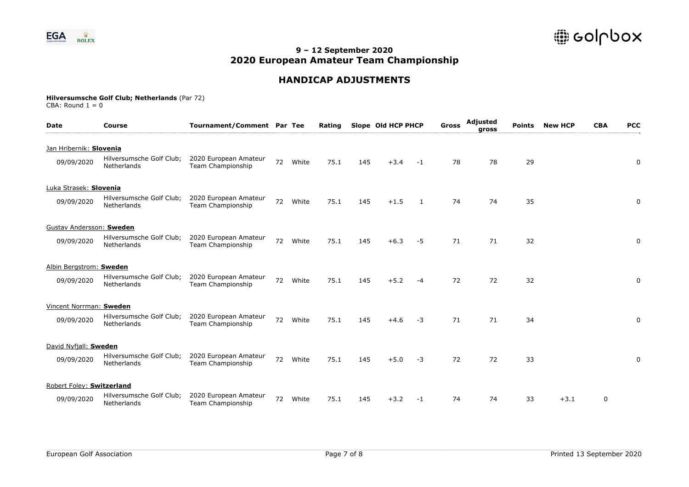

## **HANDICAP ADJUSTMENTS**

| <b>Date</b>               | <b>Course</b>                           | Tournament/Comment Par Tee                        |    |       | Rating |     | Slope Old HCP PHCP |      | Gross | Adjusted<br>gross | <b>Points</b> | <b>New HCP</b> | <b>CBA</b> | <b>PCC</b> |
|---------------------------|-----------------------------------------|---------------------------------------------------|----|-------|--------|-----|--------------------|------|-------|-------------------|---------------|----------------|------------|------------|
| Jan Hribernik: Slovenia   |                                         |                                                   |    |       |        |     |                    |      |       |                   |               |                |            |            |
| 09/09/2020                | Hilversumsche Golf Club;<br>Netherlands | 2020 European Amateur<br>Team Championship        | 72 | White | 75.1   | 145 | $+3.4$             | -1   | 78    | 78                | 29            |                |            | 0          |
| Luka Strasek: Slovenia    |                                         |                                                   |    |       |        |     |                    |      |       |                   |               |                |            |            |
| 09/09/2020                | Hilversumsche Golf Club;<br>Netherlands | 2020 European Amateur<br>Team Championship        | 72 | White | 75.1   | 145 | $+1.5$             | 1    | 74    | 74                | 35            |                |            | 0          |
| Gustav Andersson: Sweden  |                                         |                                                   |    |       |        |     |                    |      |       |                   |               |                |            |            |
| 09/09/2020                | Hilversumsche Golf Club;<br>Netherlands | 2020 European Amateur<br><b>Team Championship</b> | 72 | White | 75.1   | 145 | $+6.3$             | $-5$ | 71    | 71                | 32            |                |            | 0          |
| Albin Bergstrom: Sweden   |                                         |                                                   |    |       |        |     |                    |      |       |                   |               |                |            |            |
| 09/09/2020                | Hilversumsche Golf Club;<br>Netherlands | 2020 European Amateur<br>Team Championship        | 72 | White | 75.1   | 145 | $+5.2$             | $-4$ | 72    | 72                | 32            |                |            | 0          |
| Vincent Norrman: Sweden   |                                         |                                                   |    |       |        |     |                    |      |       |                   |               |                |            |            |
| 09/09/2020                | Hilversumsche Golf Club;<br>Netherlands | 2020 European Amateur<br>Team Championship        | 72 | White | 75.1   | 145 | $+4.6$             | -3   | 71    | 71                | 34            |                |            | 0          |
| David Nyfjall: Sweden     |                                         |                                                   |    |       |        |     |                    |      |       |                   |               |                |            |            |
| 09/09/2020                | Hilversumsche Golf Club;<br>Netherlands | 2020 European Amateur<br>Team Championship        | 72 | White | 75.1   | 145 | $+5.0$             | $-3$ | 72    | 72                | 33            |                |            | 0          |
| Robert Foley: Switzerland |                                         |                                                   |    |       |        |     |                    |      |       |                   |               |                |            |            |
| 09/09/2020                | Hilversumsche Golf Club;<br>Netherlands | 2020 European Amateur<br>Team Championship        | 72 | White | 75.1   | 145 | $+3.2$             | $-1$ | 74    | 74                | 33            | $+3.1$         | 0          |            |